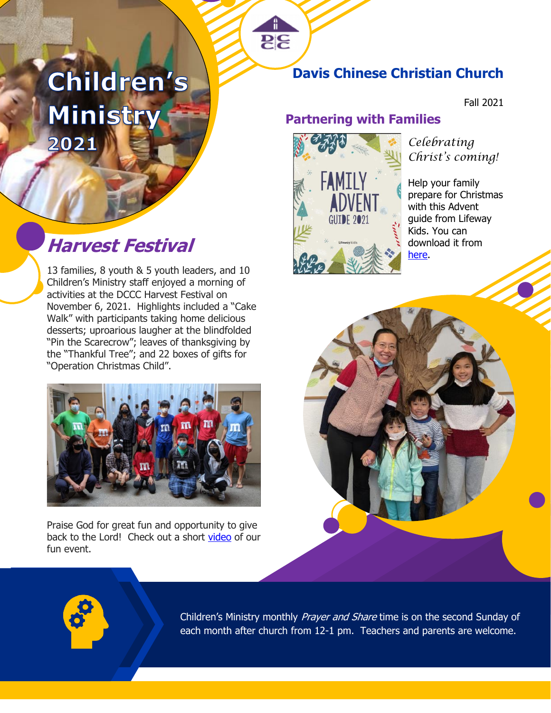# Children's Ministry 2021

# Harvest Festival **Harves** Festival

13 families, 8 youth & 5 youth leaders, and 10 Children's Ministry staff enjoyed a morning of activities at the DCCC Harvest Festival on November 6, 2021. Highlights included a "Cake Walk" with participants taking home delicious desserts; uproarious laugher at the blindfolded "Pin the Scarecrow"; leaves of thanksgiving by the "Thankful Tree"; and 22 boxes of gifts for "Operation Christmas Child".



Praise God for great fun and opportunity to give back to the Lord! Check out a short [video](https://www.magisto.com/album/video/K3srBFdBQFY9JS0PYnZLB3g?l=vsm&o=w&c=c) of our fun event.

# **Davis Chinese Christian Church**

Fall 2021

### **Partnering with Families**



**PE** 

*Celebrating Christ's coming!* 

Help your family prepare for Christmas with this Advent guide from Lifeway Kids. You can [here.](https://drive.google.com/file/d/1BWwBc9aLdKVYMH0NHpMzyfLqwZHYzAgc/view?usp=sharing)



Children's Ministry monthly Prayer and Share time is on the second Sunday of each month after church from 12-1 pm. Teachers and parents are welcome.